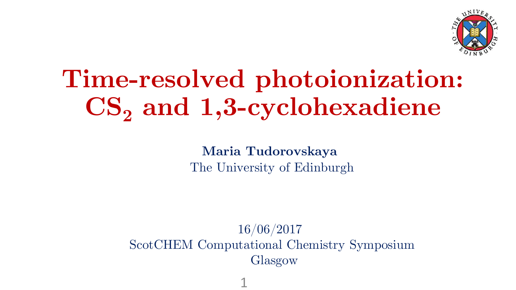

# **Time-resolved photoionization: CS<sup>2</sup> and 1,3-cyclohexadiene**

**Maria Tudorovskaya**  The University of Edinburgh

16/06/2017 ScotCHEM Computational Chemistry Symposium Glasgow

1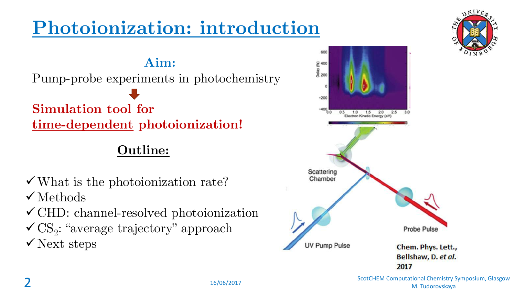## **Photoionization: introduction**

### **Aim:**

Pump-probe experiments in photochemistry **Simulation tool for** 

**time-dependent photoionization!**

### **Outline:**

- $\checkmark$  What is the photoionization rate?
- $\checkmark$  Methods
- $\checkmark$  CHD: channel-resolved photoionization
- $\checkmark$ CS<sub>2</sub>: "average trajectory" approach
- $\checkmark$  Next steps





16/06/2017 ScotCHEM Computational Chemistry Symposium, Glasgow<br>M. Tudorovskaya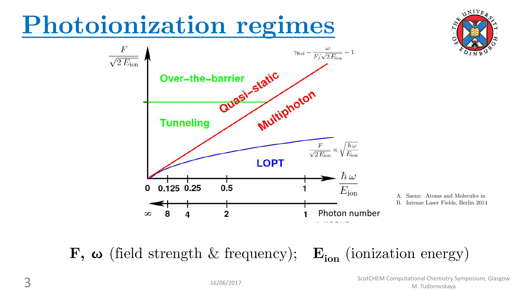

A. Saenz: Atoms and Molecules in B. Intense Laser Fields, Berlin 2014

UNIVER

**F**,  $\omega$  (field strength & frequency);  $\mathbf{E}_{\text{ion}}$  (ionization energy)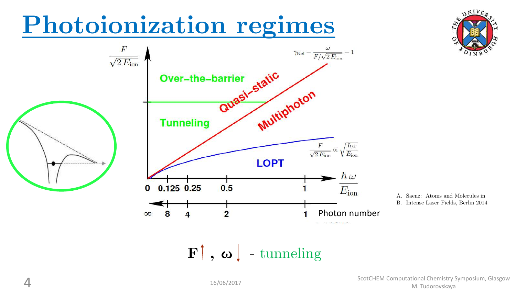



A. Saenz: Atoms and Molecules in B. Intense Laser Fields, Berlin 2014

 $\mathbf{F}$ ,  $\boldsymbol{\omega}$  - tunneling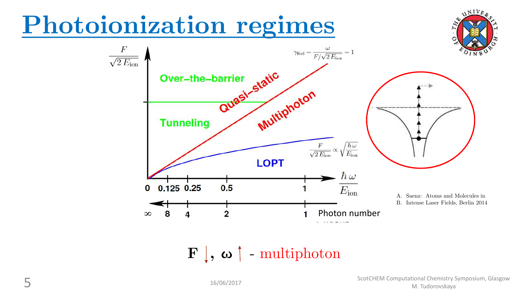

 $\mathbf{F}$ ,  $\boldsymbol{\omega}$   $\boldsymbol{\uparrow}$  - multiphoton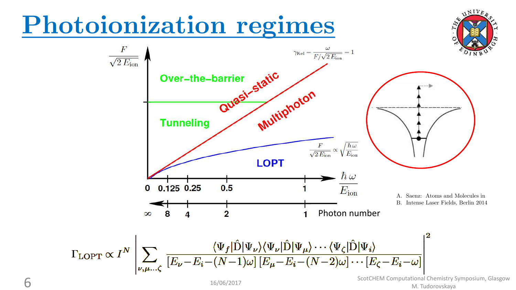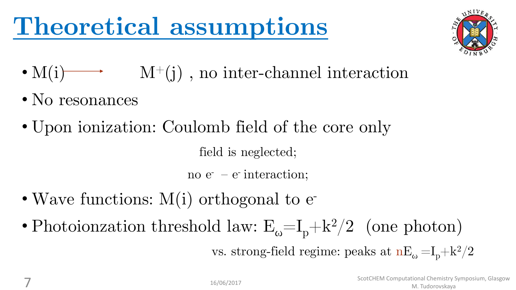# **Theoretical assumptions**



- $M(i) \longrightarrow M^+(j)$ , no inter-channel interaction
- No resonances
- Upon ionization: Coulomb field of the core only

field is neglected;

no  $e^-$  –  $e^-$  interaction;

- Wave functions:  $M(i)$  orthogonal to  $e^{-}$
- Photoionzation threshold law:  $E_{\omega} = I_p + k^2/2$  (one photon)

vs. strong-field regime: peaks at  $nE_\omega\!=\!\!I_n\!+\!k^2/2$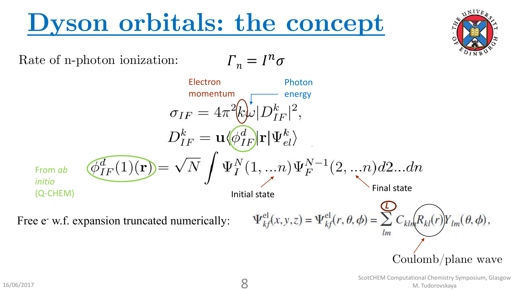# **Dyson orbitals: the concept**

Rate of n-photon ionization:



 $\Gamma_n = I$ 

 $A$ NIV $E$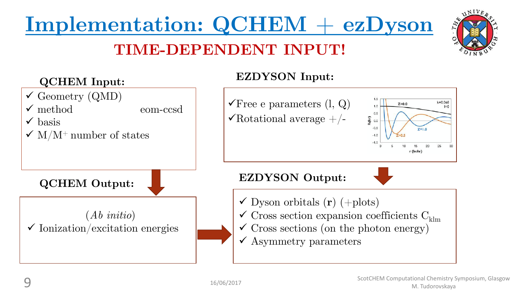

### **QCHEM Input:**

### **EZDYSON Input:**

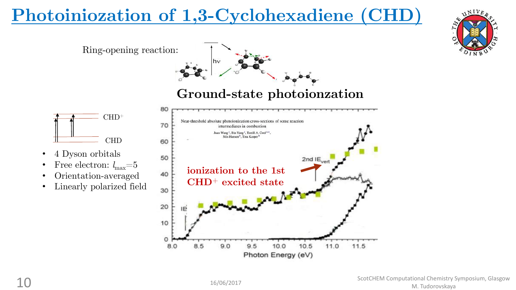## **Photoiniozation of 1,3-Cyclohexadiene (CHD)**



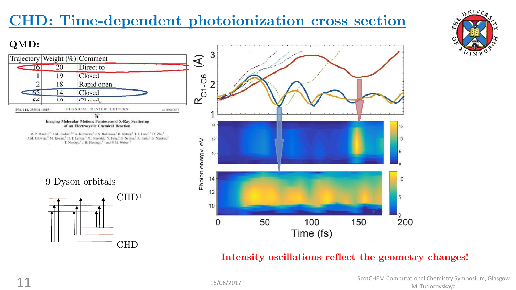### **CHD: Time-dependent photoionization cross section**

### **QMD:**



M.P. Minitti,<sup>3,2</sup> J.M. Budarz,<sup>3,2</sup> A. Kirrander,<sup>3</sup> J.S. Robinson,<sup>1</sup> D. Ratner,<sup>1</sup> T.J. Lane,<sup>1,4</sup> D. Zhu,<sup>1</sup> J. M. Glownia,<sup>1</sup> M. Kozina,<sup>1</sup> H. T. Lemke,<sup>1</sup> M. Sikorski,<sup>1</sup> Y. Feng,<sup>1</sup> S. Nelson,<sup>1</sup> K. Saita,<sup>3</sup> B. Stankus,<sup>2</sup> T. Northey,<sup>3</sup> J. B. Hastings,<sup>13</sup> and P. M. Weber<sup>2-1</sup>







#### **Intensity oscillations reflect the geometry changes!**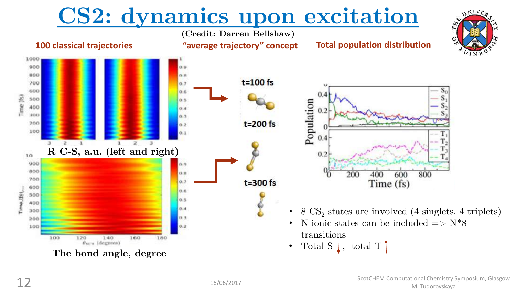## **CS2: dynamics upon excitation**



800

 $\Lambda$ NIVE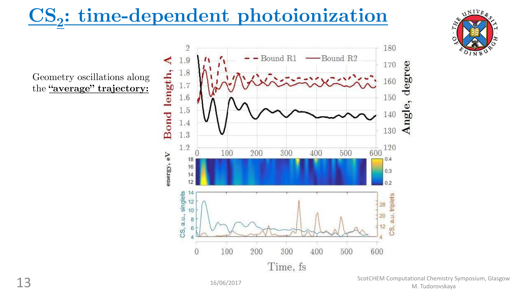## **CS<sup>2</sup> : time-dependent photoionization**

UNIVER





16/06/2017 ScotCHEM Computational Chemistry Symposium, Glasgow<br>M. Tudorovskaya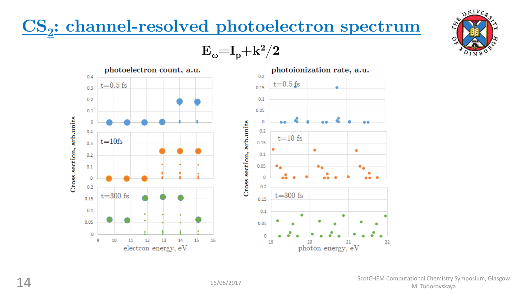

٠

22









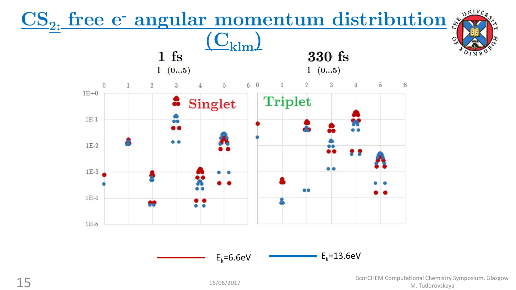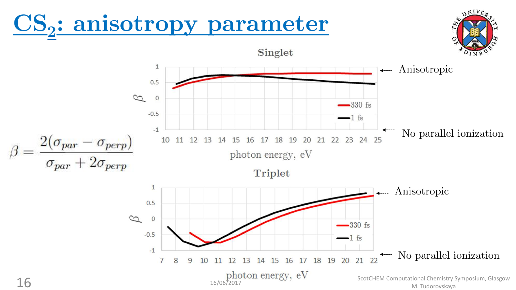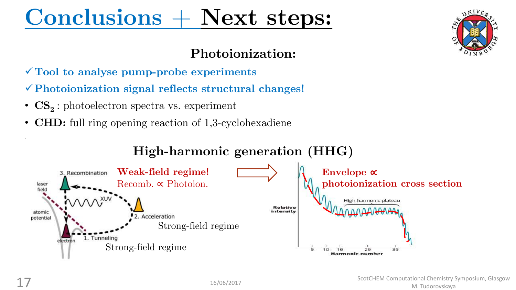## **Conclusions + Next steps:**

### **Photoionization:**

- **Tool to analyse pump-probe experiments**
- **Photoionization signal reflects structural changes!**
- **CS<sup>2</sup>** : photoelectron spectra vs. experiment
- **CHD:** full ring opening reaction of 1,3-cyclohexadiene





.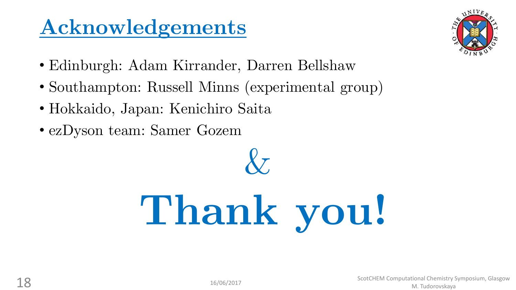## **Acknowledgements**



- Edinburgh: Adam Kirrander, Darren Bellshaw
- Southampton: Russell Minns (experimental group)
- Hokkaido, Japan: Kenichiro Saita
- ezDyson team: Samer Gozem

 $\&$ **Thank you!**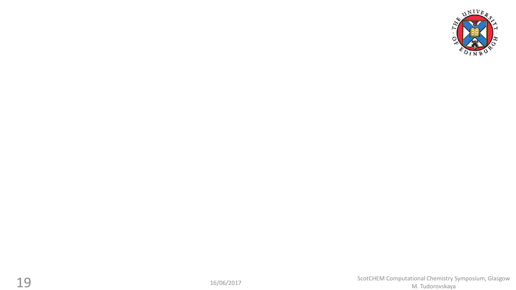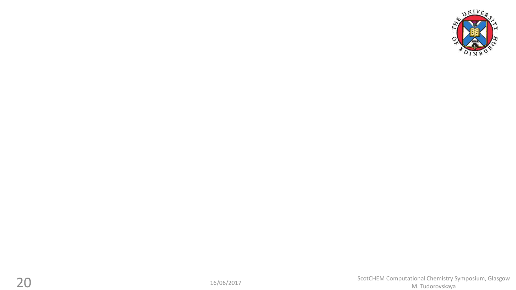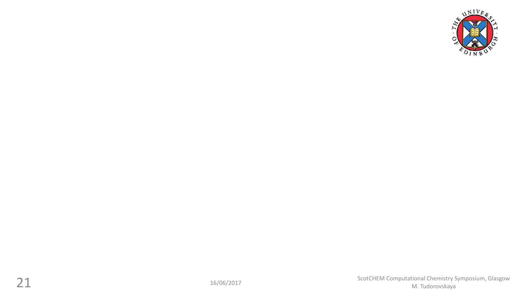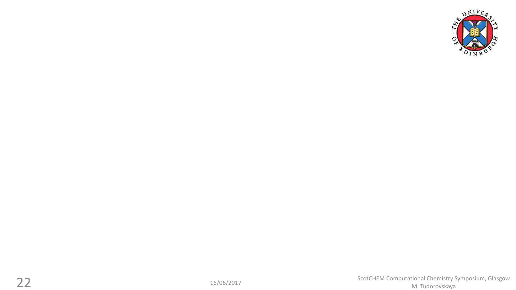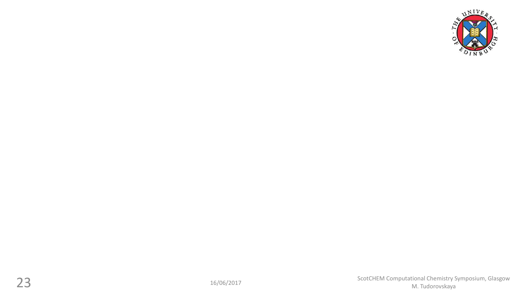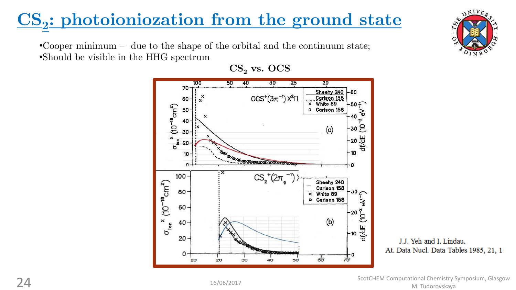## **CS<sup>2</sup> : photoioniozation from the ground state**

•Cooper minimum – due to the shape of the orbital and the continuum state; •Should be visible in the HHG spectrum







UNIVER

### 16/06/2017 ScotCHEM Computational Chemistry Symposium, Glasgow<br>M. Tudorovskaya

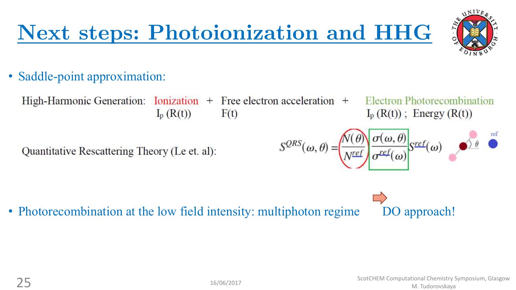# **Next steps: Photoionization and HHG**



• Saddle-point approximation:

High-Harmonic Generation: Ionization  $+$  Free electron acceleration  $+$  $I_p(R(t))$  $F(t)$ 

**Electron Photorecombination**  $I_p(R(t))$ ; Energy  $(R(t))$ 

Quantitative Rescattering Theory (Le et. al):

$$
S^{QRS}(\omega,\theta) = \underbrace{\left(\frac{N(\theta)}{N^{ref}}\right)}_{\sigma^{ref}(\omega)} S^{ref}(\omega) \underbrace{\left(\frac{N(\omega,\theta)}{N^{ref}}\right)}_{\theta} S^{\text{ref}}(\omega)
$$

• Photorecombination at the low field intensity: multiphoton regime DO approach!